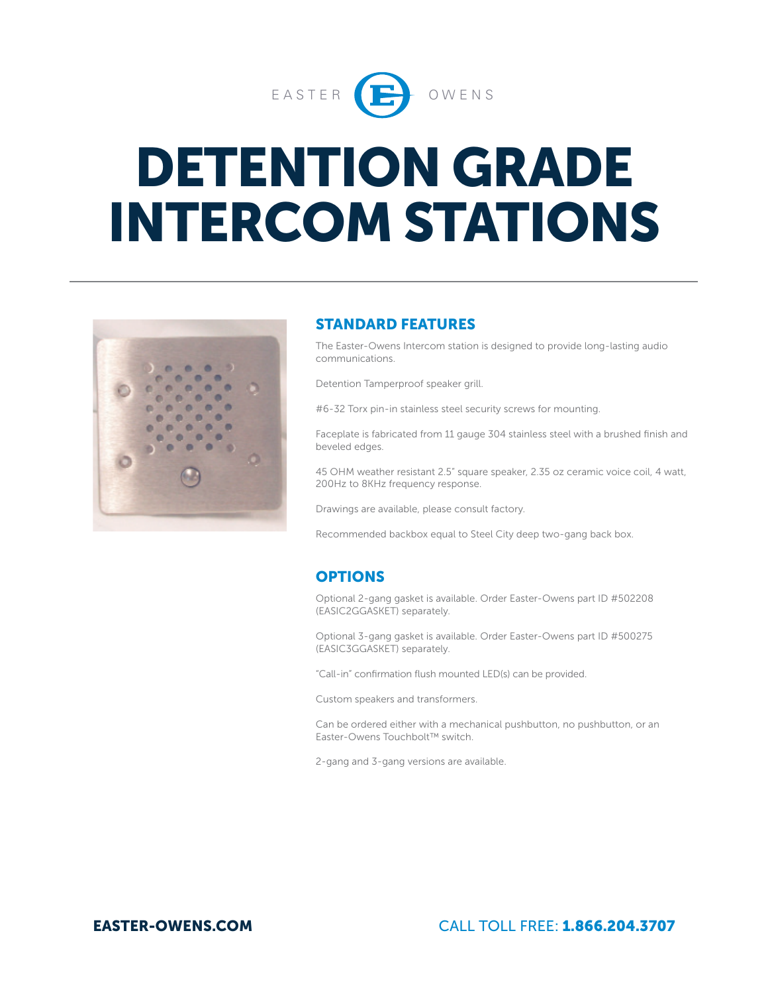

# DETENTION GRADE INTERCOM STATIONS



#### STANDARD FEATURES

The Easter-Owens Intercom station is designed to provide long-lasting audio communications.

Detention Tamperproof speaker grill.

#6-32 Torx pin-in stainless steel security screws for mounting.

Faceplate is fabricated from 11 gauge 304 stainless steel with a brushed finish and beveled edges.

45 OHM weather resistant 2.5" square speaker, 2.35 oz ceramic voice coil, 4 watt, 200Hz to 8KHz frequency response.

Drawings are available, please consult factory.

Recommended backbox equal to Steel City deep two-gang back box.

### **OPTIONS**

Optional 2-gang gasket is available. Order Easter-Owens part ID #502208 (EASIC2GGASKET) separately.

Optional 3-gang gasket is available. Order Easter-Owens part ID #500275 (EASIC3GGASKET) separately.

"Call-in" confirmation flush mounted LED(s) can be provided.

Custom speakers and transformers.

Can be ordered either with a mechanical pushbutton, no pushbutton, or an Easter-Owens Touchbolt™ switch.

2-gang and 3-gang versions are available.